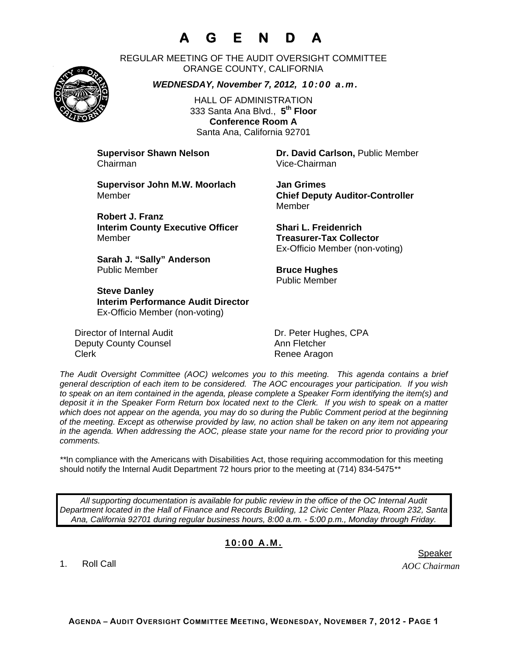# **A G E N D A**

REGULAR MEETING OF THE AUDIT OVERSIGHT COMMITTEE ORANGE COUNTY, CALIFORNIA

*WEDNESDAY, November 7, 2012, 10:00 a.m.*

HALL OF ADMINISTRATION 333 Santa Ana Blvd., **5th Floor Conference Room A**  Santa Ana, California 92701

Chairman Vice-Chairman

**Supervisor Shawn Nelson Dr. David Carlson,** Public Member

**Supervisor John M.W. Moorlach Jan Grimes**  Member **Chief Deputy Auditor-Controller** 

**Robert J. Franz Interim County Executive Officer Shari L. Freidenrich**  Member **Treasurer-Tax Collector** 

**Sarah J. "Sally" Anderson Public Member <b>Bruce Hughes Bruce Hughes** 

**Steve Danley Interim Performance Audit Director**  Ex-Officio Member (non-voting)

Director of Internal Audit Dr. Peter Hughes, CPA Deputy County Counsel **Annihilation** Ann Fletcher Clerk **Clerk** Renee Aragon

Member

Ex-Officio Member (non-voting)

Public Member

*The Audit Oversight Committee (AOC) welcomes you to this meeting. This agenda contains a brief general description of each item to be considered. The AOC encourages your participation. If you wish to speak on an item contained in the agenda, please complete a Speaker Form identifying the item(s) and deposit it in the Speaker Form Return box located next to the Clerk. If you wish to speak on a matter which does not appear on the agenda, you may do so during the Public Comment period at the beginning of the meeting. Except as otherwise provided by law, no action shall be taken on any item not appearing in the agenda. When addressing the AOC, please state your name for the record prior to providing your comments.* 

\*\*In compliance with the Americans with Disabilities Act, those requiring accommodation for this meeting should notify the Internal Audit Department 72 hours prior to the meeting at (714) 834-5475*\*\** 

*All supporting documentation is available for public review in the office of the OC Internal Audit Department located in the Hall of Finance and Records Building, 12 Civic Center Plaza, Room 232, Santa Ana, California 92701 during regular business hours, 8:00 a.m. - 5:00 p.m., Monday through Friday.* 

### **10:00 A.M.**

1. Roll Call

*AOC Chairman*  er in de staat de bestiet in de staat de bestiet in de bestiet in de bestiet in de bestiet in de staat de staa